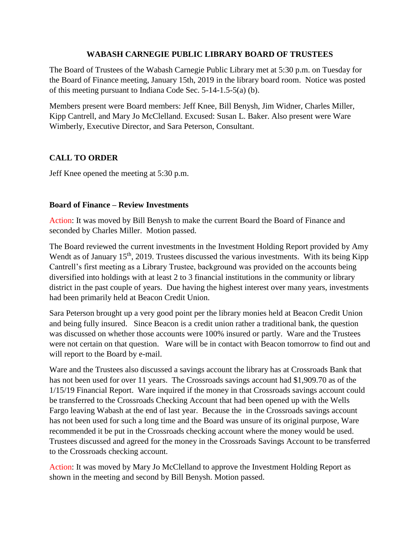## **WABASH CARNEGIE PUBLIC LIBRARY BOARD OF TRUSTEES**

The Board of Trustees of the Wabash Carnegie Public Library met at 5:30 p.m. on Tuesday for the Board of Finance meeting, January 15th, 2019 in the library board room. Notice was posted of this meeting pursuant to Indiana Code Sec. 5-14-1.5-5(a) (b).

Members present were Board members: Jeff Knee, Bill Benysh, Jim Widner, Charles Miller, Kipp Cantrell, and Mary Jo McClelland. Excused: Susan L. Baker. Also present were Ware Wimberly, Executive Director, and Sara Peterson, Consultant.

## **CALL TO ORDER**

Jeff Knee opened the meeting at 5:30 p.m.

## **Board of Finance – Review Investments**

Action: It was moved by Bill Benysh to make the current Board the Board of Finance and seconded by Charles Miller. Motion passed.

The Board reviewed the current investments in the Investment Holding Report provided by Amy Wendt as of January 15<sup>th</sup>, 2019. Trustees discussed the various investments. With its being Kipp Cantrell's first meeting as a Library Trustee, background was provided on the accounts being diversified into holdings with at least 2 to 3 financial institutions in the community or library district in the past couple of years. Due having the highest interest over many years, investments had been primarily held at Beacon Credit Union.

Sara Peterson brought up a very good point per the library monies held at Beacon Credit Union and being fully insured. Since Beacon is a credit union rather a traditional bank, the question was discussed on whether those accounts were 100% insured or partly. Ware and the Trustees were not certain on that question. Ware will be in contact with Beacon tomorrow to find out and will report to the Board by e-mail.

Ware and the Trustees also discussed a savings account the library has at Crossroads Bank that has not been used for over 11 years. The Crossroads savings account had \$1,909.70 as of the 1/15/19 Financial Report. Ware inquired if the money in that Crossroads savings account could be transferred to the Crossroads Checking Account that had been opened up with the Wells Fargo leaving Wabash at the end of last year. Because the in the Crossroads savings account has not been used for such a long time and the Board was unsure of its original purpose, Ware recommended it be put in the Crossroads checking account where the money would be used. Trustees discussed and agreed for the money in the Crossroads Savings Account to be transferred to the Crossroads checking account.

Action: It was moved by Mary Jo McClelland to approve the Investment Holding Report as shown in the meeting and second by Bill Benysh. Motion passed.